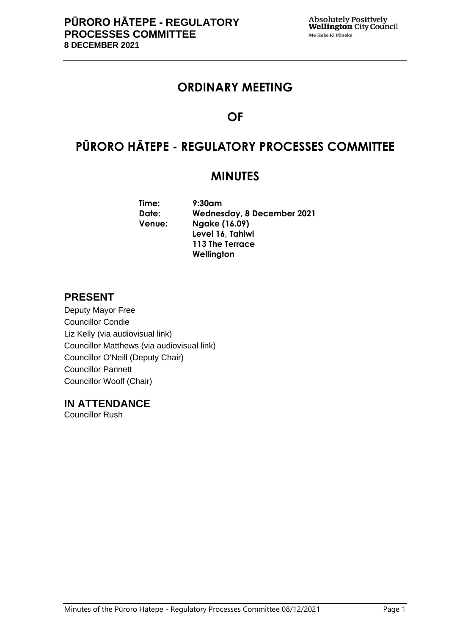## **ORDINARY MEETING**

## **OF**

## **PŪRORO HĀTEPE - REGULATORY PROCESSES COMMITTEE**

## **MINUTES**

**Time: 9:30am Date: Wednesday, 8 December 2021 Venue: Ngake (16.09) Level 16, Tahiwi 113 The Terrace Wellington**

## **PRESENT**

Deputy Mayor Free Councillor Condie Liz Kelly (via audiovisual link) Councillor Matthews (via audiovisual link) Councillor O'Neill (Deputy Chair) Councillor Pannett Councillor Woolf (Chair)

#### **IN ATTENDANCE**

Councillor Rush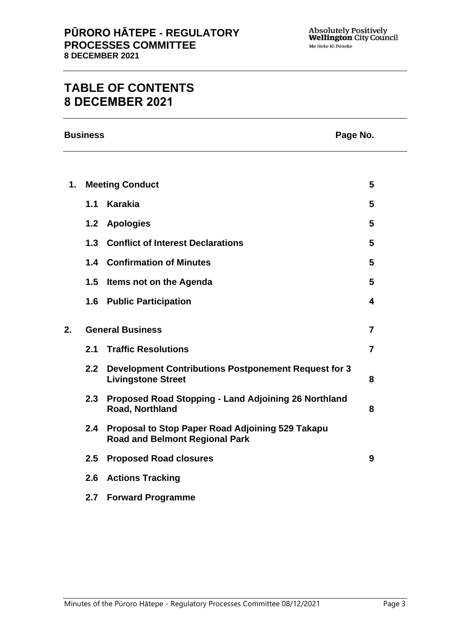## **TABLE OF CONTENTS 8 DECEMBER 2021**

**Business Page No.**

| $\mathbf 1$ . | <b>Meeting Conduct</b>  |                                                                                           | 5              |
|---------------|-------------------------|-------------------------------------------------------------------------------------------|----------------|
|               | 1.1                     | Karakia                                                                                   | 5              |
|               |                         | 1.2 Apologies                                                                             | 5              |
|               |                         | 1.3 Conflict of Interest Declarations                                                     | 5              |
|               |                         | <b>1.4 Confirmation of Minutes</b>                                                        | 5              |
|               | 1.5                     | Items not on the Agenda                                                                   | 5              |
|               |                         | <b>1.6 Public Participation</b>                                                           | 4              |
| 2.            | <b>General Business</b> |                                                                                           |                |
|               | 2.1                     | <b>Traffic Resolutions</b>                                                                | $\overline{7}$ |
|               | 2.2                     | <b>Development Contributions Postponement Request for 3</b><br><b>Livingstone Street</b>  | 8              |
|               | 2.3                     | Proposed Road Stopping - Land Adjoining 26 Northland<br>Road, Northland                   | 8              |
|               | 2.4                     | Proposal to Stop Paper Road Adjoining 529 Takapu<br><b>Road and Belmont Regional Park</b> |                |
|               | 2.5                     | <b>Proposed Road closures</b>                                                             | 9              |
|               | 2.6                     | <b>Actions Tracking</b>                                                                   |                |
|               | 2.7                     | <b>Forward Programme</b>                                                                  |                |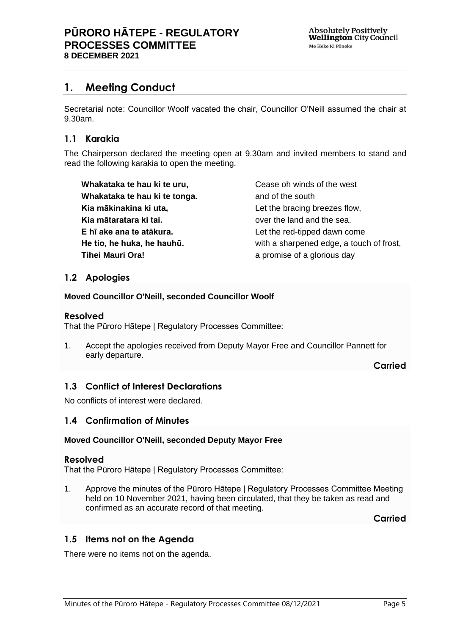## <span id="page-2-0"></span>**1. Meeting Conduct**

Secretarial note: Councillor Woolf vacated the chair, Councillor O'Neill assumed the chair at 9.30am.

#### **1.1 Karakia**

The Chairperson declared the meeting open at 9.30am and invited members to stand and read the following karakia to open the meeting.

**Whakataka te hau ki te uru, Whakataka te hau ki te tonga. Kia mākinakina ki uta, Kia mātaratara ki tai. E hī ake ana te atākura. He tio, he huka, he hauhū. Tihei Mauri Ora!**

Cease oh winds of the west and of the south Let the bracing breezes flow, over the land and the sea. Let the red-tipped dawn come with a sharpened edge, a touch of frost, a promise of a glorious day

#### <span id="page-2-1"></span>**1.2 Apologies**

#### **Moved Councillor O'Neill, seconded Councillor Woolf**

#### **Resolved**

That the Pūroro Hātepe | Regulatory Processes Committee:

1. Accept the apologies received from Deputy Mayor Free and Councillor Pannett for early departure.

**Carried**

#### <span id="page-2-2"></span>**1.3 Conflict of Interest Declarations**

No conflicts of interest were declared.

#### <span id="page-2-3"></span>**1.4 Confirmation of Minutes**

#### **Moved Councillor O'Neill, seconded Deputy Mayor Free**

#### **Resolved**

That the Pūroro Hātepe | Regulatory Processes Committee:

1. Approve the minutes of the Pūroro Hātepe | Regulatory Processes Committee Meeting held on 10 November 2021, having been circulated, that they be taken as read and confirmed as an accurate record of that meeting.

**Carried**

#### <span id="page-2-4"></span>**1.5 Items not on the Agenda**

There were no items not on the agenda.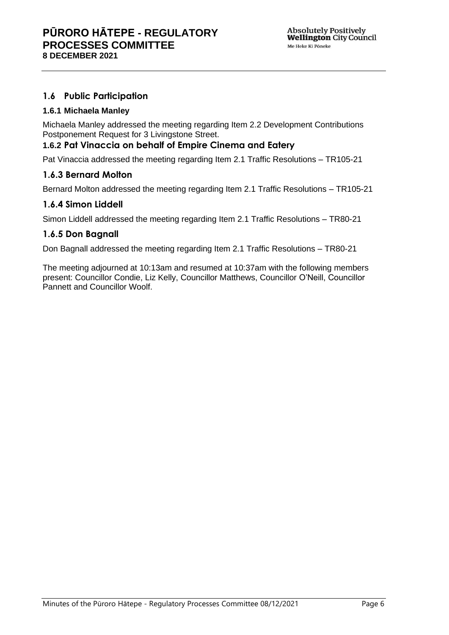#### **1.6 Public Participation**

#### **1.6.1 Michaela Manley**

Michaela Manley addressed the meeting regarding Item 2.2 Development Contributions Postponement Request for 3 Livingstone Street.

#### **1.6.2 Pat Vinaccia on behalf of Empire Cinema and Eatery**

Pat Vinaccia addressed the meeting regarding Item 2.1 Traffic Resolutions – TR105-21

#### **1.6.3 Bernard Molton**

Bernard Molton addressed the meeting regarding Item 2.1 Traffic Resolutions – TR105-21

#### **1.6.4 Simon Liddell**

Simon Liddell addressed the meeting regarding Item 2.1 Traffic Resolutions – TR80-21

#### **1.6.5 Don Bagnall**

Don Bagnall addressed the meeting regarding Item 2.1 Traffic Resolutions – TR80-21

The meeting adjourned at 10:13am and resumed at 10:37am with the following members present: Councillor Condie, Liz Kelly, Councillor Matthews, Councillor O'Neill, Councillor Pannett and Councillor Woolf.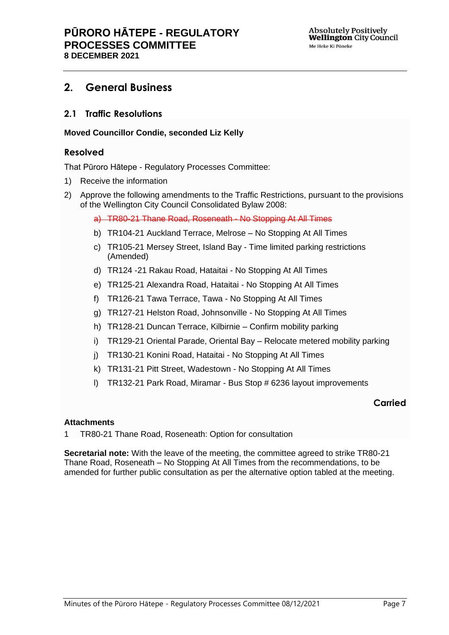### <span id="page-4-0"></span>**2. General Business**

#### <span id="page-4-1"></span>**2.1 Traffic Resolutions**

#### **Moved Councillor Condie, seconded Liz Kelly**

#### **Resolved**

That Pūroro Hātepe - Regulatory Processes Committee:

- 1) Receive the information
- 2) Approve the following amendments to the Traffic Restrictions, pursuant to the provisions of the Wellington City Council Consolidated Bylaw 2008:
	- a) TR80-21 Thane Road, Roseneath No Stopping At All Times
	- b) TR104-21 Auckland Terrace, Melrose No Stopping At All Times
	- c) TR105-21 Mersey Street, Island Bay Time limited parking restrictions (Amended)
	- d) TR124 -21 Rakau Road, Hataitai No Stopping At All Times
	- e) TR125-21 Alexandra Road, Hataitai No Stopping At All Times
	- f) TR126-21 Tawa Terrace, Tawa No Stopping At All Times
	- g) TR127-21 Helston Road, Johnsonville No Stopping At All Times
	- h) TR128-21 Duncan Terrace, Kilbirnie Confirm mobility parking
	- i) TR129-21 Oriental Parade, Oriental Bay Relocate metered mobility parking
	- j) TR130-21 Konini Road, Hataitai No Stopping At All Times
	- k) TR131-21 Pitt Street, Wadestown No Stopping At All Times
	- l) TR132-21 Park Road, Miramar Bus Stop # 6236 layout improvements

#### **Carried**

#### **Attachments**

1 TR80-21 Thane Road, Roseneath: Option for consultation

**Secretarial note:** With the leave of the meeting, the committee agreed to strike TR80-21 Thane Road, Roseneath – No Stopping At All Times from the recommendations, to be amended for further public consultation as per the alternative option tabled at the meeting.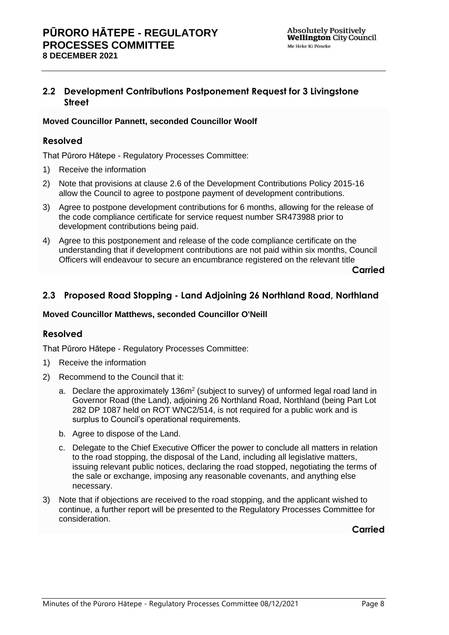#### <span id="page-5-0"></span>**2.2 Development Contributions Postponement Request for 3 Livingstone Street**

#### **Moved Councillor Pannett, seconded Councillor Woolf**

#### **Resolved**

That Pūroro Hātepe - Regulatory Processes Committee:

- 1) Receive the information
- 2) Note that provisions at clause 2.6 of the Development Contributions Policy 2015-16 allow the Council to agree to postpone payment of development contributions.
- 3) Agree to postpone development contributions for 6 months, allowing for the release of the code compliance certificate for service request number SR473988 prior to development contributions being paid.
- 4) Agree to this postponement and release of the code compliance certificate on the understanding that if development contributions are not paid within six months, Council Officers will endeavour to secure an encumbrance registered on the relevant title

**Carried**

#### <span id="page-5-1"></span>**2.3 Proposed Road Stopping - Land Adjoining 26 Northland Road, Northland**

#### **Moved Councillor Matthews, seconded Councillor O'Neill**

#### **Resolved**

That Pūroro Hātepe - Regulatory Processes Committee:

- 1) Receive the information
- 2) Recommend to the Council that it:
	- a. Declare the approximately 136 $m<sup>2</sup>$  (subject to survey) of unformed legal road land in Governor Road (the Land), adjoining 26 Northland Road, Northland (being Part Lot 282 DP 1087 held on ROT WNC2/514, is not required for a public work and is surplus to Council's operational requirements.
	- b. Agree to dispose of the Land.
	- c. Delegate to the Chief Executive Officer the power to conclude all matters in relation to the road stopping, the disposal of the Land, including all legislative matters, issuing relevant public notices, declaring the road stopped, negotiating the terms of the sale or exchange, imposing any reasonable covenants, and anything else necessary.
- 3) Note that if objections are received to the road stopping, and the applicant wished to continue, a further report will be presented to the Regulatory Processes Committee for consideration.

**Carried**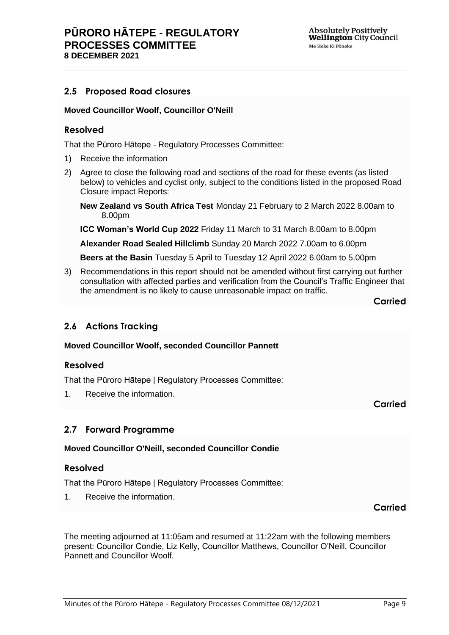#### <span id="page-6-0"></span>**2.5 Proposed Road closures**

#### **Moved Councillor Woolf, Councillor O'Neill**

#### **Resolved**

That the Pūroro Hātepe - Regulatory Processes Committee:

- 1) Receive the information
- 2) Agree to close the following road and sections of the road for these events (as listed below) to vehicles and cyclist only, subject to the conditions listed in the proposed Road Closure impact Reports:

**New Zealand vs South Africa Test** Monday 21 February to 2 March 2022 8.00am to 8.00pm

**ICC Woman's World Cup 2022** Friday 11 March to 31 March 8.00am to 8.00pm

**Alexander Road Sealed Hillclimb** Sunday 20 March 2022 7.00am to 6.00pm

**Beers at the Basin** Tuesday 5 April to Tuesday 12 April 2022 6.00am to 5.00pm

3) Recommendations in this report should not be amended without first carrying out further consultation with affected parties and verification from the Council's Traffic Engineer that the amendment is no likely to cause unreasonable impact on traffic.

**Carried**

#### **2.6 Actions Tracking**

#### **Moved Councillor Woolf, seconded Councillor Pannett**

#### **Resolved**

That the Pūroro Hātepe | Regulatory Processes Committee:

1. Receive the information.

**Carried**

#### **2.7 Forward Programme**

#### **Moved Councillor O'Neill, seconded Councillor Condie**

#### **Resolved**

That the Pūroro Hātepe | Regulatory Processes Committee:

1. Receive the information.

**Carried**

The meeting adjourned at 11:05am and resumed at 11:22am with the following members present: Councillor Condie, Liz Kelly, Councillor Matthews, Councillor O'Neill, Councillor Pannett and Councillor Woolf.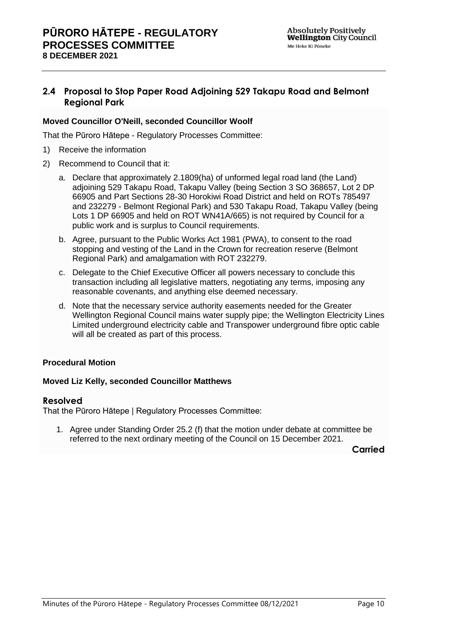#### **2.4 Proposal to Stop Paper Road Adjoining 529 Takapu Road and Belmont Regional Park**

#### **Moved Councillor O'Neill, seconded Councillor Woolf**

That the Pūroro Hātepe - Regulatory Processes Committee:

- 1) Receive the information
- 2) Recommend to Council that it:
	- a. Declare that approximately 2.1809(ha) of unformed legal road land (the Land) adjoining 529 Takapu Road, Takapu Valley (being Section 3 SO 368657, Lot 2 DP 66905 and Part Sections 28-30 Horokiwi Road District and held on ROTs 785497 and 232279 - Belmont Regional Park) and 530 Takapu Road, Takapu Valley (being Lots 1 DP 66905 and held on ROT WN41A/665) is not required by Council for a public work and is surplus to Council requirements.
	- b. Agree, pursuant to the Public Works Act 1981 (PWA), to consent to the road stopping and vesting of the Land in the Crown for recreation reserve (Belmont Regional Park) and amalgamation with ROT 232279.
	- c. Delegate to the Chief Executive Officer all powers necessary to conclude this transaction including all legislative matters, negotiating any terms, imposing any reasonable covenants, and anything else deemed necessary.
	- d. Note that the necessary service authority easements needed for the Greater Wellington Regional Council mains water supply pipe; the Wellington Electricity Lines Limited underground electricity cable and Transpower underground fibre optic cable will all be created as part of this process.

#### **Procedural Motion**

#### **Moved Liz Kelly, seconded Councillor Matthews**

#### **Resolved**

That the Pūroro Hātepe | Regulatory Processes Committee:

1. Agree under Standing Order 25.2 (f) that the motion under debate at committee be referred to the next ordinary meeting of the Council on 15 December 2021.

**Carried**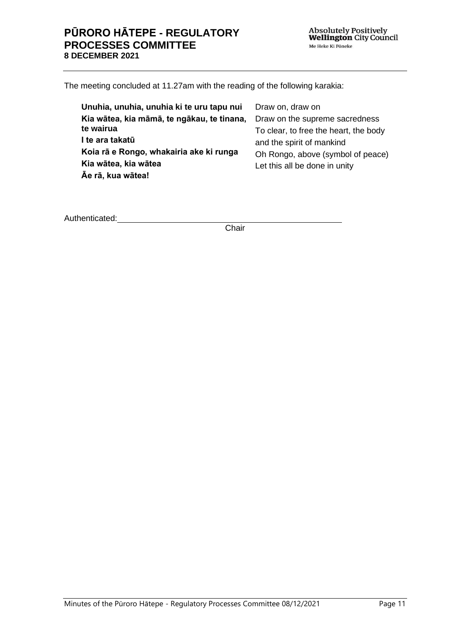The meeting concluded at 11.27am with the reading of the following karakia:

| Unuhia, unuhia, unuhia ki te uru tapu nui                                                               | Draw on, draw on                                                                                |
|---------------------------------------------------------------------------------------------------------|-------------------------------------------------------------------------------------------------|
| Kia wātea, kia māmā, te ngākau, te tinana,<br>te wairua                                                 | Draw on the supreme sacredness<br>To clear, to free the heart, the body                         |
| I te ara takatū<br>Koia rā e Rongo, whakairia ake ki runga<br>Kia wātea, kia wātea<br>Āe rā, kua wātea! | and the spirit of mankind<br>Oh Rongo, above (symbol of peace)<br>Let this all be done in unity |

Authenticated:

**Chair**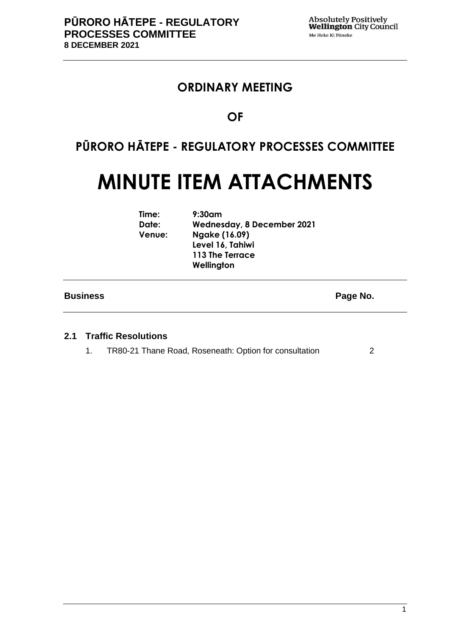## **ORDINARY MEETING**

## **OF**

## **PŪRORO HĀTEPE - REGULATORY PROCESSES COMMITTEE**

# **MINUTE ITEM ATTACHMENTS**

| Time:         | $9:30$ am                         |
|---------------|-----------------------------------|
| Date:         | <b>Wednesday, 8 December 2021</b> |
| <b>Venue:</b> | Ngake (16.09)                     |
|               | Level 16, Tahiwi                  |
|               | 113 The Terrace                   |
|               | Wellington                        |

#### **Business Page No.**

#### **2.1 Traffic Resolutions**

1. TR80-21 Thane Road, Roseneath: Option for consultation [2](#page-10-0)